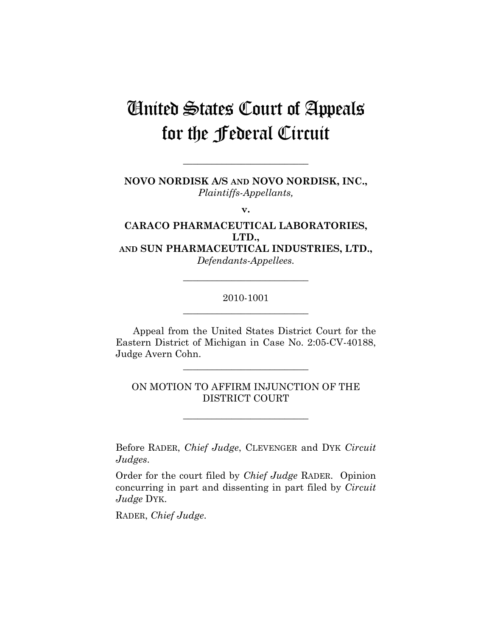## United States Court of Appeals for the Federal Circuit

**NOVO NORDISK A/S AND NOVO NORDISK, INC.,**  *Plaintiffs-Appellants,* 

**\_\_\_\_\_\_\_\_\_\_\_\_\_\_\_\_\_\_\_\_\_\_\_\_\_\_** 

**v.** 

**CARACO PHARMACEUTICAL LABORATORIES, LTD., AND SUN PHARMACEUTICAL INDUSTRIES, LTD.,** 

*Defendants-Appellees.* 

## 2010-1001 **\_\_\_\_\_\_\_\_\_\_\_\_\_\_\_\_\_\_\_\_\_\_\_\_\_\_**

**\_\_\_\_\_\_\_\_\_\_\_\_\_\_\_\_\_\_\_\_\_\_\_\_\_\_** 

Appeal from the United States District Court for the Eastern District of Michigan in Case No. 2:05-CV-40188, Judge Avern Cohn.

**\_\_\_\_\_\_\_\_\_\_\_\_\_\_\_\_\_\_\_\_\_\_\_\_\_\_** 

ON MOTION TO AFFIRM INJUNCTION OF THE DISTRICT COURT

**\_\_\_\_\_\_\_\_\_\_\_\_\_\_\_\_\_\_\_\_\_\_\_\_\_\_** 

Before RADER, *Chief Judge*, CLEVENGER and DYK *Circuit Judges*.

Order for the court filed by *Chief Judge* RADER. Opinion concurring in part and dissenting in part filed by *Circuit Judge* DYK.

RADER, *Chief Judge*.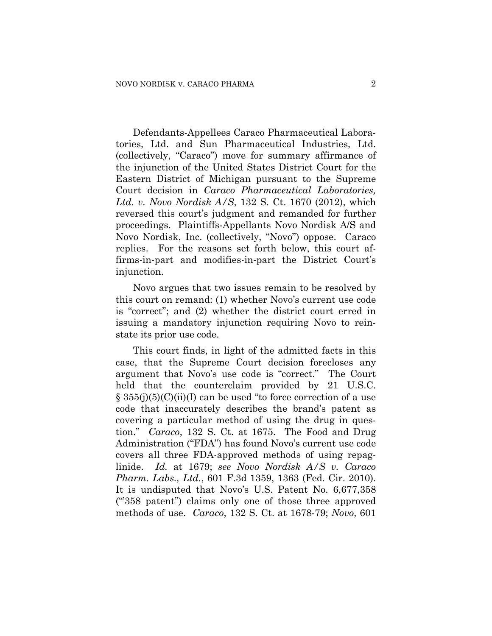Defendants-Appellees Caraco Pharmaceutical Laboratories, Ltd. and Sun Pharmaceutical Industries, Ltd. (collectively, "Caraco") move for summary affirmance of the injunction of the United States District Court for the Eastern District of Michigan pursuant to the Supreme Court decision in *Caraco Pharmaceutical Laboratories, Ltd. v. Novo Nordisk A/S*, 132 S. Ct. 1670 (2012), which reversed this court's judgment and remanded for further proceedings. Plaintiffs-Appellants Novo Nordisk A/S and Novo Nordisk, Inc. (collectively, "Novo") oppose. Caraco replies. For the reasons set forth below, this court affirms-in-part and modifies-in-part the District Court's injunction.

Novo argues that two issues remain to be resolved by this court on remand: (1) whether Novo's current use code is "correct"; and (2) whether the district court erred in issuing a mandatory injunction requiring Novo to reinstate its prior use code.

This court finds, in light of the admitted facts in this case, that the Supreme Court decision forecloses any argument that Novo's use code is "correct." The Court held that the counterclaim provided by 21 U.S.C.  $\S$  355(j)(5)(C)(ii)(I) can be used "to force correction of a use code that inaccurately describes the brand's patent as covering a particular method of using the drug in question." *Caraco*, 132 S. Ct. at 1675. The Food and Drug Administration ("FDA") has found Novo's current use code covers all three FDA-approved methods of using repaglinide. *Id.* at 1679; *see Novo Nordisk A/S v. Caraco Pharm. Labs., Ltd.*, 601 F.3d 1359, 1363 (Fed. Cir. 2010). It is undisputed that Novo's U.S. Patent No. 6,677,358 ("'358 patent") claims only one of those three approved methods of use. *Caraco*, 132 S. Ct. at 1678-79; *Novo*, 601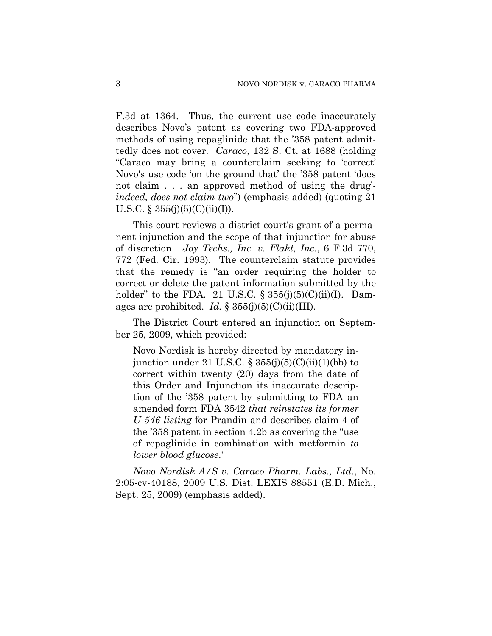F.3d at 1364. Thus, the current use code inaccurately describes Novo's patent as covering two FDA-approved methods of using repaglinide that the '358 patent admittedly does not cover. *Caraco*, 132 S. Ct. at 1688 (holding "Caraco may bring a counterclaim seeking to 'correct' Novo's use code 'on the ground that' the '358 patent 'does not claim . . . an approved method of using the drug' *indeed, does not claim two*") (emphasis added) (quoting 21 U.S.C. § 355(j)(5)(C)(ii)(I)).

This court reviews a district court's grant of a permanent injunction and the scope of that injunction for abuse of discretion. *Joy Techs., Inc. v. Flakt, Inc.*, 6 F.3d 770, 772 (Fed. Cir. 1993). The counterclaim statute provides that the remedy is "an order requiring the holder to correct or delete the patent information submitted by the holder" to the FDA. 21 U.S.C.  $\S 355(j)(5)(C)(ii)(I)$ . Damages are prohibited. *Id.*  $\S 355(j)(5)(C)(ii)(III)$ .

The District Court entered an injunction on September 25, 2009, which provided:

Novo Nordisk is hereby directed by mandatory injunction under 21 U.S.C.  $\S 355(j)(5)(C)(ii)(1)(bb)$  to correct within twenty (20) days from the date of this Order and Injunction its inaccurate description of the '358 patent by submitting to FDA an amended form FDA 3542 *that reinstates its former U-546 listing* for Prandin and describes claim 4 of the '358 patent in section 4.2b as covering the "use of repaglinide in combination with metformin *to lower blood glucose*."

*Novo Nordisk A/S v. Caraco Pharm. Labs., Ltd.*, No. 2:05-cv-40188, 2009 U.S. Dist. LEXIS 88551 (E.D. Mich., Sept. 25, 2009) (emphasis added).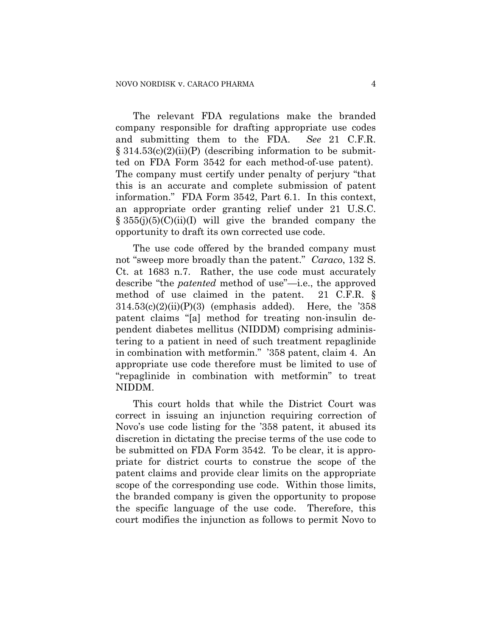The relevant FDA regulations make the branded company responsible for drafting appropriate use codes and submitting them to the FDA. *See* 21 C.F.R.  $\S 314.53(c)(2)(ii)(P)$  (describing information to be submitted on FDA Form 3542 for each method-of-use patent). The company must certify under penalty of perjury "that this is an accurate and complete submission of patent information." FDA Form 3542, Part 6.1. In this context, an appropriate order granting relief under 21 U.S.C.  $§ 355(j)(5)(C)(ii)(I)$  will give the branded company the opportunity to draft its own corrected use code.

The use code offered by the branded company must not "sweep more broadly than the patent." *Caraco*, 132 S. Ct. at 1683 n.7. Rather, the use code must accurately describe "the *patented* method of use"—i.e., the approved method of use claimed in the patent. 21 C.F.R. §  $314.53(c)(2)(ii)(P)(3)$  (emphasis added). Here, the '358 patent claims "[a] method for treating non-insulin dependent diabetes mellitus (NIDDM) comprising administering to a patient in need of such treatment repaglinide in combination with metformin." '358 patent, claim 4. An appropriate use code therefore must be limited to use of "repaglinide in combination with metformin" to treat NIDDM.

This court holds that while the District Court was correct in issuing an injunction requiring correction of Novo's use code listing for the '358 patent, it abused its discretion in dictating the precise terms of the use code to be submitted on FDA Form 3542. To be clear, it is appropriate for district courts to construe the scope of the patent claims and provide clear limits on the appropriate scope of the corresponding use code. Within those limits, the branded company is given the opportunity to propose the specific language of the use code. Therefore, this court modifies the injunction as follows to permit Novo to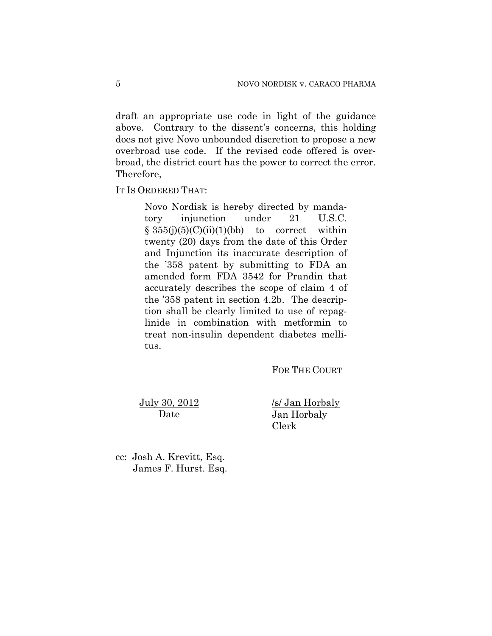draft an appropriate use code in light of the guidance above. Contrary to the dissent's concerns, this holding does not give Novo unbounded discretion to propose a new overbroad use code. If the revised code offered is overbroad, the district court has the power to correct the error. Therefore,

IT IS ORDERED THAT:

Novo Nordisk is hereby directed by mandatory injunction under 21 U.S.C.  $§ 355(i)(5)(C)(ii)(1)(bb)$  to correct within twenty (20) days from the date of this Order and Injunction its inaccurate description of the '358 patent by submitting to FDA an amended form FDA 3542 for Prandin that accurately describes the scope of claim 4 of the '358 patent in section 4.2b. The description shall be clearly limited to use of repaglinide in combination with metformin to treat non-insulin dependent diabetes mellitus.

FOR THE COURT

July 30, 2012 Date

/s/ Jan Horbaly Jan Horbaly Clerk

cc: Josh A. Krevitt, Esq. James F. Hurst. Esq.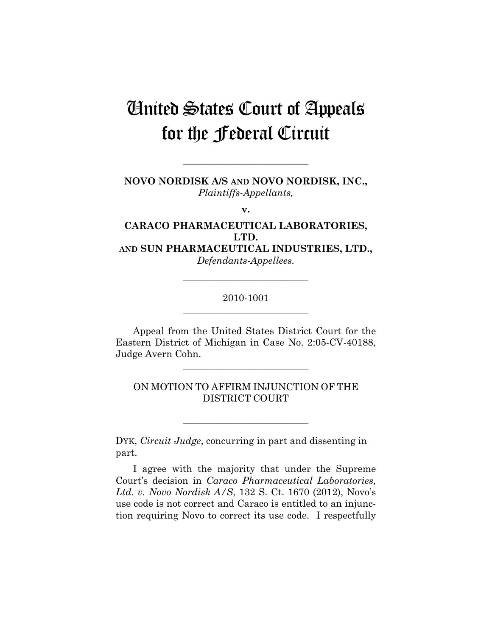## United States Court of Appeals for the Federal Circuit

**NOVO NORDISK A/S AND NOVO NORDISK, INC.,**  *Plaintiffs-Appellants,* 

**\_\_\_\_\_\_\_\_\_\_\_\_\_\_\_\_\_\_\_\_\_\_\_\_\_\_** 

**v.** 

**CARACO PHARMACEUTICAL LABORATORIES, LTD. AND SUN PHARMACEUTICAL INDUSTRIES, LTD.,** 

*Defendants-Appellees.* 

## 2010-1001 **\_\_\_\_\_\_\_\_\_\_\_\_\_\_\_\_\_\_\_\_\_\_\_\_\_\_**

**\_\_\_\_\_\_\_\_\_\_\_\_\_\_\_\_\_\_\_\_\_\_\_\_\_\_** 

Appeal from the United States District Court for the Eastern District of Michigan in Case No. 2:05-CV-40188, Judge Avern Cohn.

**\_\_\_\_\_\_\_\_\_\_\_\_\_\_\_\_\_\_\_\_\_\_\_\_\_\_** 

ON MOTION TO AFFIRM INJUNCTION OF THE DISTRICT COURT

\_\_\_\_\_\_\_\_\_\_\_\_\_\_\_\_\_\_\_\_\_\_\_\_\_\_

DYK, *Circuit Judge*, concurring in part and dissenting in part.

I agree with the majority that under the Supreme Court's decision in *Caraco Pharmaceutical Laboratories, Ltd. v. Novo Nordisk A/S*, 132 S. Ct. 1670 (2012), Novo's use code is not correct and Caraco is entitled to an injunction requiring Novo to correct its use code. I respectfully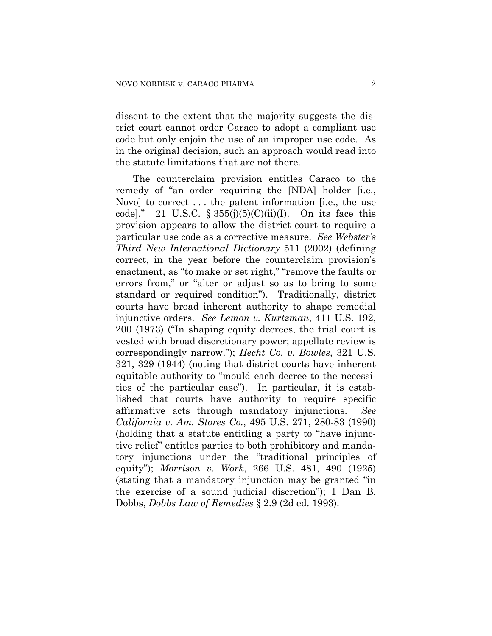dissent to the extent that the majority suggests the district court cannot order Caraco to adopt a compliant use code but only enjoin the use of an improper use code. As in the original decision, such an approach would read into the statute limitations that are not there.

The counterclaim provision entitles Caraco to the remedy of "an order requiring the [NDA] holder [i.e., Novo] to correct . . . the patent information [i.e., the use code]." 21 U.S.C.  $\S 355(j)(5)(C)(ii)(I)$ . On its face this provision appears to allow the district court to require a particular use code as a corrective measure. *See Webster's Third New International Dictionary* 511 (2002) (defining correct, in the year before the counterclaim provision's enactment, as "to make or set right," "remove the faults or errors from," or "alter or adjust so as to bring to some standard or required condition"). Traditionally, district courts have broad inherent authority to shape remedial injunctive orders. *See Lemon v. Kurtzman*, 411 U.S. 192, 200 (1973) ("In shaping equity decrees, the trial court is vested with broad discretionary power; appellate review is correspondingly narrow."); *Hecht Co. v. Bowles*, 321 U.S. 321, 329 (1944) (noting that district courts have inherent equitable authority to "mould each decree to the necessities of the particular case"). In particular, it is established that courts have authority to require specific affirmative acts through mandatory injunctions. *See California v. Am. Stores Co.*, 495 U.S. 271, 280-83 (1990) (holding that a statute entitling a party to "have injunctive relief" entitles parties to both prohibitory and mandatory injunctions under the "traditional principles of equity"); *Morrison v. Work*, 266 U.S. 481, 490 (1925) (stating that a mandatory injunction may be granted "in the exercise of a sound judicial discretion"); 1 Dan B. Dobbs, *Dobbs Law of Remedies* § 2.9 (2d ed. 1993).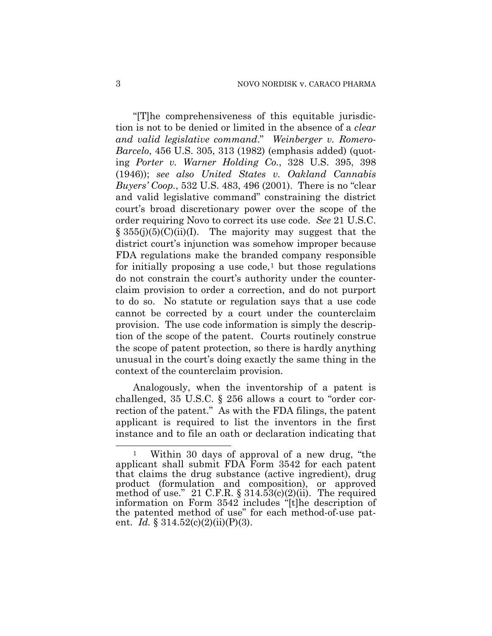"[T]he comprehensiveness of this equitable jurisdiction is not to be denied or limited in the absence of a *clear and valid legislative command*." *Weinberger v. Romero-Barcelo*, 456 U.S. 305, 313 (1982) (emphasis added) (quoting *Porter v. Warner Holding Co.*, 328 U.S. 395, 398 (1946)); *see also United States v. Oakland Cannabis Buyers' Coop.*, 532 U.S. 483, 496 (2001). There is no "clear and valid legislative command" constraining the district court's broad discretionary power over the scope of the order requiring Novo to correct its use code. *See* 21 U.S.C.  $\S 355(j)(5)(C)(ii)(I)$ . The majority may suggest that the district court's injunction was somehow improper because FDA regulations make the branded company responsible for initially proposing a use code,<sup>[1](#page-7-0)</sup> but those regulations do not constrain the court's authority under the counterclaim provision to order a correction, and do not purport to do so. No statute or regulation says that a use code cannot be corrected by a court under the counterclaim provision. The use code information is simply the description of the scope of the patent. Courts routinely construe the scope of patent protection, so there is hardly anything unusual in the court's doing exactly the same thing in the context of the counterclaim provision.

Analogously, when the inventorship of a patent is challenged, 35 U.S.C. § 256 allows a court to "order correction of the patent." As with the FDA filings, the patent applicant is required to list the inventors in the first instance and to file an oath or declaration indicating that

 $\overline{a}$ 

<span id="page-7-0"></span>Within 30 days of approval of a new drug, "the applicant shall submit FDA Form 3542 for each patent that claims the drug substance (active ingredient), drug product (formulation and composition), or approved method of use." 21 C.F.R.  $\S 314.53(c)(2)(ii)$ . The required information on Form 3542 includes "[t]he description of the patented method of use" for each method-of-use patent. *Id.* §  $314.52(c)(2)(ii)(P)(3)$ .